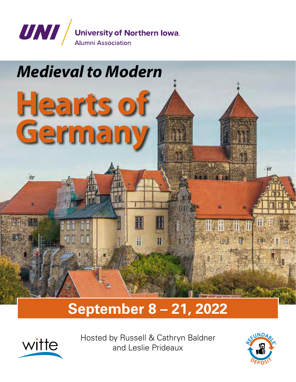

# *Medieval to Modern*

**Hearts of**

**Germany**

## **September 8 – 21, 2022**

H

Ħ



 $\frac{1}{2}$ 

Hosted by Russell & Cathryn Baldner and Leslie Prideaux



鄉

H

**糖用研究**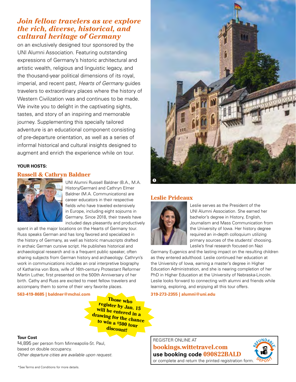### *Join fellow travelers as we explore the rich, diverse, historical, and cultural heritage of Germany*

on an exclusively designed tour sponsored by the UNI Alumni Association. Featuring outstanding expressions of Germany's historic architectural and artistic wealth, religious and linguistic legacy, and the thousand-year political dimensions of its royal, imperial, and recent past, *Hearts of Germany* guides travelers to extraordinary places where the history of Western Civilization was and continues to be made. We invite you to delight in the captivating sights, tastes, and story of an inspiring and memorable journey. Supplementing this specially tailored adventure is an educational component consisting of pre-departure orientation, as well as a series of informal historical and cultural insights designed to augment and enrich the experience while on tour.

#### **Your hosts:**

#### **Russell & Cathryn Baldner**



UNI Alumni Russell Baldner (B.A., M.A. History/German) and Cathryn Elmer Baldner (M.A. Communications) are career educators in their respective fields who have traveled extensively in Europe, including eight sojourns in Germany. Since 2018, their travels have included days pleasantly and productively

spent in all the major locations on the Hearts of Germany tour. Russ speaks German and has long favored and specialized in the history of Germany, as well as historic manuscripts drafted in archaic German cursive script. He publishes historical and archaeological research and is a frequent public speaker, often sharing subjects from German history and archaeology. Cathryn's work in communications includes an oral interpretive biography of Katharina von Bora, wife of 16th-century Protestant Reformer Martin Luther, first presented on the 500th Anniversary of her birth. Cathy and Russ are excited to meet fellow travelers and accompany them to some of their very favorite places.

#### **563-419-8685 | baldner@mchsi.com**

**Those who register by Jan. 15 will be entered in a drawing for the chance to win a \$500 tour discount!**



\$4,895 per person from Minneapolis-St. Paul, based on double occupancy. *Other departure cities are available upon request.*



#### **Leslie Prideaux**



Leslie serves as the President of the UNI Alumni Association. She earned her bachelor's degree in History, English, Journalism and Mass Communication from the University of Iowa. Her history degree required an in-depth colloquium utilizing primary sources of the students' choosing. Leslie's final research focused on Nazi

Germany Eugenics and the lasting impact on the resulting children as they entered adulthood. Leslie continued her education at the University of Iowa, earning a master's degree in Higher Education Administration, and she is nearing completion of her PhD in Higher Education at the University of Nebraska-Lincoln. Leslie looks forward to connecting with alumni and friends while learning, exploring, and enjoying all this tour offers.

**319-273-2355 | alumni@uni.edu**

Register online at **bookings.wittetravel.com use booking code 090822BALD** or complete and return the printed registration form.

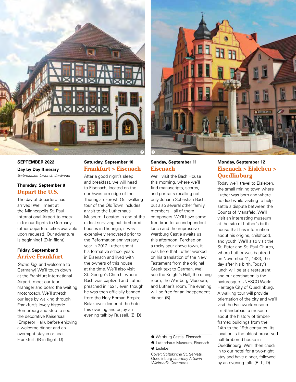

#### **September 2022**

**Day by Day Itinerary** *B=breakfast L=lunch D=dinner*

#### **Thursday, September 8 Depart the U.S.**

The day of departure has arrived! We'll meet at the Minneapolis-St. Paul International Airport to check in for our flights to Germany (other departure cities available upon request). Our adventure is beginning! (D-in flight)

#### **Friday, September 9 Arrive Frankfurt**

*Guten Tag*, and welcome to Germany! We'll touch down at the Frankfurt International Airport, meet our tour manager and board the waiting motorcoach. We'll stretch our legs by walking through Frankfurt's lovely historic Römerberg and stop to see the decorative Kaisersaal (Emperor Hall), before enjoying a welcome dinner and an overnight stay in or near Frankfurt. (B-in flight, D)

#### **Saturday, September 10 Frankfurt > Eisenach**

After a good night's sleep and breakfast, we will head to Eisenach, located on the northwestern edge of the Thuringian Forest. Our walking tour of the Old Town includes a visit to the Lutherhaus Museum. Located in one of the oldest surviving half-timbered houses in Thuringia, it was extensively renovated prior to the Reformation anniversary year in 2017. Luther spent his formative school years in Eisenach and lived with the owners of this house at the time. We'll also visit St. George's Church, where Bach was baptized and Luther preached in 1521, even though he was then officially banned from the Holy Roman Empire. Relax over dinner at the hotel this evening and enjoy an evening talk by Russell. (B, D)



#### **Sunday, September 11 Eisenach**

We'll visit the Bach House this morning, where we'll find manuscripts, scores, and portraits recalling not only Johann Sebastian Bach, but also several other family members—all of them composers. We'll have some free time for an independent lunch and the impressive Wartburg Castle awaits us this afternoon. Perched on a rocky spur above town, it was here that Luther worked on his translation of the New Testament from the original Greek text to German. We'll see the Knight's Hall, the dining room, the Wartburg Museum, and Luther's room. The evening will be free for an independent dinner. (B)

- **O** Wartburg Castle, Eisenach
- **Q** Lutherhaus Museum, Eisenach
- **O** Eisleben

#### **Monday, September 12 Eisenach > Eisleben > Quedlinburg**

Today we'll travel to Eisleben, the small mining town where Luther was born and where he died while visiting to help settle a dispute between the Counts of Mansfeld. We'll visit an interesting museum at the site of Luther's birth house that has information about his origins, childhood, and youth. We'll also visit the St. Peter and St. Paul Church, where Luther was baptized on November 11, 1483, the day after his birth. Today's lunch will be at a restaurant and our destination is the picturesque UNESCO World Heritage City of Quedlinburg. A walking tour will provide orientation of the city and we'll visit the Fachwerkmuseum im Ständerbau, a museum about the history of timberframed buildings from the 14th to the 19th centuries. Its location is the oldest preserved half-timbered house in Quedlinburg! We'll then check in to our hotel for a two-night stay and have dinner, followed by an evening talk. (B, L, D)

Cover: Stiftskirche St. Servatii, Quedlinburg *courtesy A Savin Wikimedia Commons*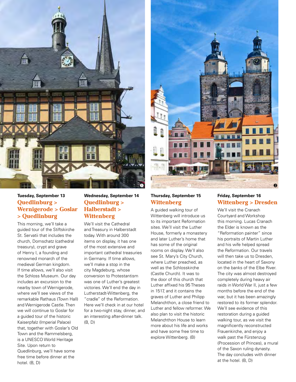

#### **Tuesday, September 13 Quedlinburg > Wernigerode > Goslar > Quedlinburg**

This morning, we'll take a guided tour of the Stiftskirche St. Servatii that includes the church, Domschatz (cathedral treasury), crypt and grave of Henry I, a founding and renowned monarch of the medieval German kingdom. If time allows, we'll also visit the Schloss Museum. Our day includes an excursion to the nearby town of Wernigerode, where we'll see views of the remarkable Rathaus (Town Hall) and Wernigerode Castle. Then we will continue to Goslar for a guided tour of the historic Kaiserpfalz (Imperial Palace) that, together with Goslar's Old Town and the Rammelsberg, is a UNESCO World Heritage Site. Upon return to Quedlinburg, we'll have some free time before dinner at the hotel. (B, D)

#### **Wednesday, September 14 Quedlinburg > Halberstadt > Wittenberg**

We'll visit the Cathedral and Treasury in Halberstadt today. With around 300 items on display, it has one of the most extensive and important cathedral treasuries in Germany. If time allows, we'll make a stop in the city Magdeburg, whose conversion to Protestantism was one of Luther's greatest victories. We'll end the day in Lutherstadt-Wittenberg, the "cradle" of the Reformation. Here we'll check in at our hotel for a two-night stay, dinner, and an interesting after-dinner talk. (B, D)



#### **Thursday, September 15 Wittenberg**

A guided walking tour of Wittenberg will introduce us to its important Reformation sites. We'll visit the Luther House, formerly a monastery and later Luther's home that has some of the original rooms on display. We'll also see St. Mary's City Church, where Luther preached, as well as the Schlosskirche (Castle Church). It was to the door of this church that Luther affixed his 95 Theses in 1517, and it contains the graves of Luther and Philipp Melanchthon, a close friend to Luther and fellow reformer. We also plan to visit the historic Melanchthon House to learn more about his life and works and have some free time to explore Wittenberg. (B)

#### **Friday, September 16 Wittenberg > Dresden**

We'll visit the Cranach Courtyard and Workshop this morning. Lucas Cranach the Elder is known as the "Reformation painter" since his portraits of Martin Luther and his wife helped spread the Reformation. Our travels will then take us to Dresden, located in the heart of Saxony on the banks of the Elbe River. The city was almost destroyed completely during heavy air raids in World War II, just a few months before the end of the war, but it has been amazingly restored to its former splendor. We'll see evidence of this restoration during a guided walking tour, as we visit the magnificently reconstructed Frauenkirche, and enjoy a walk past the Fürstenzug (Procession of Princes), a mural of the Saxon ruling dynasty. The day concludes with dinner at the hotel. (B, D)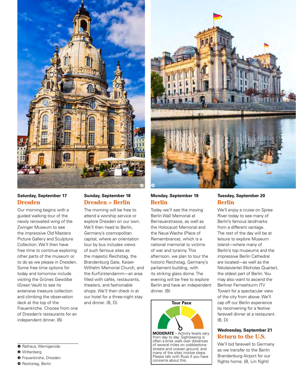

#### **Saturday, September 17 Dresden**

Our morning begins with a guided walking tour of the newly renovated wing of the Zwinger Museum to see the impressive Old Masters Picture Gallery and Sculpture Collection. We'll then have free time to continue exploring other parts of the museum or to do as we please in Dresden. Some free time options for today and tomorrow include visiting the Grünes Gewölbe (Green Vault) to see its extensive treasure collection and climbing the observation deck at the top of the Frauenkirche. Choose from one of Dresden's restaurants for an independent dinner. (B)

#### **Sunday, September 18 Dresden > Berlin**

The morning will be free to attend a worship service or explore Dresden on our own. We'll then head to Berlin, Germany's cosmopolitan capital, where an orientation tour by bus includes views of such famous sites as the majestic Reichstag, the Brandenburg Gate, Kaiser-Wilhelm Memorial Church, and the Kurfürstendamm—an area filled with cafés, restaurants, theaters, and fashionable shops. We'll then check in at our hotel for a three-night stay and dinner. (B, D)

#### **Monday, September 19 Berlin**

Today we'll see the moving Berlin Wall Memorial at Bernauerstrasse, as well as the Holocaust Memorial and the Neue Wache (Place of Remembrance), which is a national memorial to victims of war and tyranny. This afternoon, we plan to tour the historic Reichstag, Germany's parliament building, with its striking glass dome. The evening will be free to explore Berlin and have an independent dinner. (B)



**MODERATE** – Activity levels vary from day to day. Sightseeing is often a brisk walk over distances of several miles on cobblestone streets and uneven ground, and many of the sites involve steps. Please talk with Russ if you have concerns about this.

#### **Tuesday, September 20 Berlin**

We'll enjoy a cruise on Spree River today to see many of Berlin's famous landmarks from a different vantage. The rest of the day will be at leisure to explore Museum Island—where many of Berlin's top museums and the impressive Berlin Cathedral are located—as well as the Nikolaiviertel (Nicholas Quarter), the oldest part of Berlin. You may also want to ascend the Berliner Fernsehturm (TV Tower) for a spectacular view of the city from above. We'll cap off our Berlin experience by reconvening for a festive farewell dinner at a restaurant. (B, D)

#### **Wednesday, September 21 Return to the U.S.**

We'll bid farewell to Germany as we transfer to the Berlin Brandenburg Airport for our flights home. (B, L-in flight)

- **O** Rathaus, Wernigerode
- **O** Wittenberg
- **O** Frauenkirche, Dresden
- **O** Reichstag, Berlin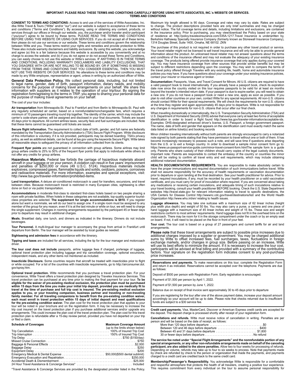#### **IMPORTANT: PLEASE READ THESE TERMS AND CONDITIONS CAREFULLY BEFORE USING WITTE ASSOCIATES, INC.'s WEBSITE OR SERVICES. TERMS AND CONDITIONS**

**CONSENT TO TERMS AND CONDITIONS:** Access to and use of the services of Witte Associates, Inc. dba Witte Travel & Tours ("Witte" and/or "our") and our website is subject to acceptance of these terms and conditions ("Terms and Conditions"). By accessing, using or obtaining any content, products, or services through our offices or through our website, you, the purchaser and/or traveler and/or participant<br>("you/your") agree to be bound by these terms. PLEASE READ THE TERMS AND CONDITIONS<br>BEFORE USING THIS WEBSITE OR US then please do not use our services or our website. These terms and conditions govern the relationship between Witte and you. These terms restrict your rights and remedies and provide protection to Witte. These also include warranty disclaimers and liability exclusions. By using this website, you acknowledge and agree (a) this is a fair balance because this website is accessible by you conveniently and at no charge to access the website; and (b) if you do not agree or do not accept these Terms and Conditions,<br>you can easily choose to not use this website or Witte's services. IF ANYTHING IS IN THESE TERMS<br>AND CONDITIONS, INCLUD YOU DISAGREE WITH OR ARE NOT WILLING TO BE BOUND BY, OR IF SOMETHING IS MISSING FROM THESE TERMS AND CONDITIONS THAT YOU CONSIDER ESSENTIAL, THEN YOU MUST NOT USE THIS WEBSITE OR OUR SERVICES. No alterations to these terms and conditions may be made by any Witte employee, representative or agent, unless in writing by an authorized officer of Witte.

**General Data Protection Policy**. We collect personal data, including, but not limited to legal name, gender, date of birth, passport information, dietary needs, and mobility concerns for the purpose of making travel arran

#### The cost of your tour includes:

**Air transportation** from Minneapolis-St. Paul to Frankfurt and from Berlin to Minneapolis-St. Paul with<br>any regularly scheduled air carrier, based on a nonrefundable/nonchangeable fare, which requires a minimum of 10 passengers traveling round trip together. The identity of the carrier, which may include the carrier's code-share partner, will be assigned and disclosed in your final documents. Tickets are issued 45 days prior to departure. All current airlines taxes, security fees and fuel surcharges are included. Note that these items cannot be guaranteed until tickets are issued.

**Secure flight information.** The requirement to collect date of birth, gender, and full name are federally<br>mandated by the Transportation Security Administration's (TSA) Secure Flight Program. While disclosure of this information is voluntary, if it is not provided, participants may be denied boarding. TSA's privacy policy, as well as additional details, can be found at tsa.gov using the keywords Secure Flight. Witte takes<br>all reasonable steps to safeguard the privacy of all information collected from its clients.

**Frequent flyer points** are not guaranteed in connection with group airfares. Some airlines may limit<br>group airfare credits to 25% to 50% of the frequent flyer points that apply to individuals while others do not offer any credits for group airfares.

**Hazardous Materials.** Federal law forbids the carriage of hazardous materials aboard<br>aircraft in your luggage or on your person. A violation can result in five years' imprisonment<br>and penalties of \$250,000 or more (49 U.S

**Land transportation.** A deluxe air-conditioned motorcoach is used for transfers, excursions, and travel between cities. Because motorcoach travel is restricted in many European cities, sightseeing is often done on foot or via public transportation.

**Accommodations** in moderate first-class to standard first-class hotels based on two people sharing a room with private facilities. When hotels in these categories are not available, top-quality superior tourist-class properties are selected. **The supplement for single accommodations is \$810.** If you register alone but want a roommate, we will do our best to assign one. If a single room must be assigned to any member of the group for any reason, even if it is at the last minute or while on tour, we will need to charge the single supplement. Changes in rooming arrangements requested by the participant 45 or fewer days prior to departure may result in additional charges.

**Meals.** Breakfast daily, one lunch, and dinners as indicated in the itinerary. Dinners do not include beverages.

**Tour Personnel.** A multi-lingual tour manager to accompany the group from arrival in Frankfurt until<br>departure from Berlin. The tour manager will be assisted by local guides as needed.

**Sightseeing and admission fees** in accordance with the itinerary.

**Tipping and taxes** are included for all services, including the tip for the tour manager and motorcoach driver.

**The tour cost does not include** passports, airline luggage fees if charged, porterage of luggage, optional travel protection plan including luggage and trip cancellation coverage, optional excursions, independent meals, and any other items not mentioned as included.

**Insecticide Disclosure.** Some countries require that aircraft be treated with insecticides prior to flight or while occupied. For a list of the countries with insecticide requirements, go to http://airconsumer.dot. gov/spray.htm.

**Optional travel protection.** Witte recommends that you purchase a travel protection plan. For your<br>convenience, Witte Travel offers a travel protection plan designed by Travelex Insurance Services. This travel protection can be purchased at any time prior to making the final payment for your tour. **To be eligible for the waiver of pre-existing medical exclusion, the protection plan must be purchased within 15 days from the time you make your initial trip deposit, provided you are medically fit to travel at the time of purchase and full trip cost is insured. The pre-existing medical exclusion applies to you, or your traveling companion, business partner and traveling or non-traveling family member. For all traveling companions to benefit from the pre-existing condition waiver, each must enroll in travel protection within 15 days of initial deposit and meet qualifications for the pre-existing condition waiver.** The plan cost for the travel protection plan that applies to your tour will be noted in your brochure and on the registration form. It may be necessary to increase the trip cost ins protection plan is refundable after a 15-day review period, provided you have not departed on your trip or filed a claim.

| <b>Schedule of Coverages</b> | <b>Maximum Coverage Amount</b><br>(up to the limits shown below) |
|------------------------------|------------------------------------------------------------------|
|                              |                                                                  |
|                              |                                                                  |
|                              |                                                                  |
|                              |                                                                  |
|                              |                                                                  |
|                              |                                                                  |
|                              |                                                                  |
|                              |                                                                  |
|                              |                                                                  |
|                              |                                                                  |
|                              |                                                                  |

\*Travel Assistance & Concierge Services are provided by the designated provider listed in the Policy.

Maximum trip length allowed is 90 days. Coverage and rates may vary by state. Rates are subject to change. The product descriptions provided here are only brief summaries and may be changed<br>without notice. The full coverage terms and details, including limitations and exclusions, are contained<br>in the insurance policy Berkshire Hathaway Specialty Insurance Company (formerly known as Stonewall Insurance Company), 1314 Douglas Street, Suite 1400, Omaha, NE 68102. ZKN

The purchase of this product is not required in order to purchase any other travel product or service. Your travel retailer might not be licensed to sell travel insurance and will only be able to provide general information about the product. An unlicensed travel retailer may not answer questions about the terms and conditions of the insurance offered and may not evaluate the adequacy of your existing insurance coverage. The products being offered provide insurance coverage that only applies during your covered trip. You may have insurance coverage from other sources that provide similar benefits but may be<br>subject to different restrictions depending upon the coverage. You may wish to compare the terms of<br>the travel policy offere policies you may have. If you have questions about your coverage under your existing insurance policies, contact your insurer or insurance agent or broker.

**Documentation:** Passports, Visas, and Travel Consent for Minors. All U.S. citizens are required to have a valid passport book to travel internationally. If you already have a passport book, check its expiration date now since the country visited on this tour requires passports to be valid for at least six months beyond the traveler's intended return date. If your passport is due to expire earlier, you will need to obtain a new one. If you do not have a passport book or need a new one, apply as soon as possible. If you plan to visit other countries on your own, contact Witte for any special requirements. All non-U.S. citizens should contact Witte for their special requirements. We will check the requirements for non-U.S. citizens at the time they register and again approximately 45 days prior to departure. Witte is not responsible for any changes in requirements for non-U.S. citizens that occur after our final check.

When travelling domestically or internationally, the U.S. Transportation Security Administration (TSA) and U.S. Department of Homeland Security (DHS) advise that everyone carry at least two forms of acceptable identification in order to board a flight found http://www.tsa.gov/traveler-information/acceptable-ids. Examples: DHS-designated enhanced driver's license, U.S. Passport, a foreign government passport. The name, date of birth and gender that appears on the identification card must exactly match the same data listed on airline ticket(s) and booking records

Minor children traveling internationally without both parents are strongly encouraged to carry a notarized note signed by both parents stating that they have permission to travel without one or both of them. It has become increasingly necessary to possess such a note, and will save time if questions arise departing from the U.S. or to exit a foreign country. In order to download a sample minor consent form go to: https://www.us-passport-service-guide.com/minor-travel-consent-form.htmlThe sample form is a guide only. Parents who share custody of their children should carry copies of the legal custody documents. Important note: Parents are responsible to contact the embassy of the country or countries the minor child will be visiting to confirm all travel entry and exit requirements, which may include obtaining additional notarized documentation.

**HEALTH DOCUMENTATION REQUIREMENTS.** You are responsible to make absolutely certain to have the proper immunizations and required documentation of such immunizations before travel. Witte shall not assume responsibility for the accuracy of health requirements or vaccination documentation prior to departure or upon landing at the final destination. See your health practitioner for advice. Prior to travel, required inoculations, if any, must be recorded by your health practitioner on a valid vaccination certificate, and you must carry for proof of inoculation where required. If you are concerned about taking any medications or receiving certain inoculations, and adequate timing of such inoculations relative to your travel booking, consult your health practitioner BEFORE booking. Check the U.S. State Department websites http://travel.state.gov for relevant information relating to travel to specific destinations, the USA Centers for Disease Control http://wwwnc.cdc.gov/travel/destinations/list/ and the World Health Organization http://www.who.int/en/ relating to health issues.

**Luggage allowance.** You may take one suitcase with a maximum size of 62 linear inches (height plus width plus depth) and weight of 50 lbs. You may also carry a purse, a camera and one piece of hand luggage with a maximum size of 45 linear inches and weight of 15 lbs. These size and weight restrictions conform to most airlines' requirements. Hand luggage does not fit in the overhead bins on the motorcoach. There may be room for it in the storage compartment under the coach or by an empty seat on board. If not, it will need to be placed on the floor in front of your feet.

**Tour cost.** The tour cost is based on a group of 27 passengers and current tariffs for air and land arrangements.

**Please note** that these travel arrangements are subject to possible price increases due to additional charges imposed by a supplier or government. You may be charged additional sums by Witte to offset increased fees, fuel participants will be advised at final billing and provided with a summary of the contributing factors. Your signature on the registration form indicates consent to any post-purchase price increases.

**Reservations and payments.** To make reservations on this tour, complete the Registration Form and return it as indicated. Reservations cannot be accepted over the telephone. Payments are due as follows:

Deposit of \$500 per person with Registration Form. Early registration is encouraged.

Payment of \$1,500 per person by April 1, 2022.

Payment of \$1,500 per person by June 1, 2022.

Balance due on receipt of final invoice sent approximately 30 to 45 days prior to departure

If you are registering for the tour after one of the above payment dates, increase your deposit amount accordingly so your account will be up to date. Please note that checks returned due to insufficient funds are subject to a \$30 service fee.

**Credit card payments.** Visa, MasterCard, Discover or American Express credit cards are accepted for the deposit. The deposit charge is processed shortly after receipt of your registration form

**Cancellations and refunds.** Witte must receive notice of cancellation in writing. Penalties are per person and will be based on the date of receipt, as follows:

| Between 120 and 46 days before departure \$400  |  |
|-------------------------------------------------|--|
|                                                 |  |
| Between 45 and 31 days before departure \$1,800 |  |
|                                                 |  |
|                                                 |  |
|                                                 |  |

**The service fee noted under "Special Flight Arrangements" and the nonrefundable portion of any special arrangements, or any other non-refundable arrangements made on behalf of the canceling participant, are also added to the above penalties.** Allow two to four weeks for processing of refunds. Depending on volume, refunds may take up to four to six weeks to process. Note that payments made<br>by check are refunded by check to the person or organization that made the payments, and payments<br>charged to a credit card a

**Membership/Passenger's Responsibility.** You acknowledge Witte is responsible for a comfortable and respectful atmosphere that protects the health of all travelers, creating a positive tour experience. This requires commitment from every individual on the tour to assume personal responsibility for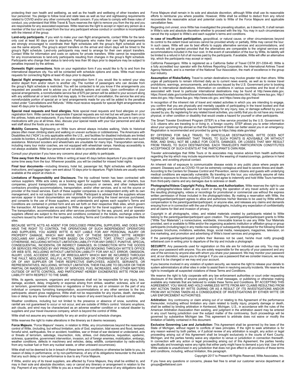protecting their own health and wellbeing, as well as the health and wellbeing of other travelers and tour personnel. You pledge to follow local and state laws as well as tour and sightseeing requirements related to COVID and/or any other community health concern. If you refuse to comply with these rules of conduct, you understand that Witte Travel & Tours reserves the right to remove you from the trip and you are responsible for any associated expenses. Witte reserves the right to accept or reject any person as a member of the tour and to expel from the tour any participant whose conduct or condition is incompatible with the interest of the group.

**Land-only participants.** If you wish to make your own flight arrangements, contact Witte for the land-<br>only cost at least 90 days prior to departure. Participants who make their own flight arrangements<br>are strongly encour use the same airports. The group's airport transfers on the arrival and return days will be timed to the group's flight schedule. Land-only participants may need to arrange for their own airport transfers. Contact Witte for information and costs on options for private transfers. Witte cannot be responsible for any inconveniences to land-only participants resulting from changes in the group's flight schedule. Participants who change their status to land-only less than 90 days prior to departure may be subject to penalties imposed by the airlines.

**Domestic flight connections.** Note on your registration form if you would like to fly to and from the international departure city. You will be contacted with schedule options and costs. Witte must receive requests for connecting flights at least 45 days prior to departure.

**Special flight arrangements.** Note on your registration form if you would like to extend your stay<br>and/or depart from and/or return to another city. The number of passengers who can deviate from<br>the group's flight schedul requested are possible and to advise you of schedule options and costs. Upon confirmation of your special arrangements, a nonrefundable service fee of \$75 per person will be added to your account along with any additional air or land costs that may apply. In the event of cancellation, the service fee and any nonrefundable portion of special air or land arrangements made for you will be added to the penalties noted under "Cancellations and Refunds." Witte must receive requests for special flight arrangements at least 45 days prior to departure.

**Special meal requests and food allergies.** Note special meal requests and food allergies on your registration form. Witte cannot be responsible if special requests are not met but we will pass them on to the airlines, hotels and restaurants. If you have dietary restrictions or food allergies, be sure to carry your medications with you at all times. Also, discuss your special needs with your tour personnel and ask the wait staff about the foods you are served.

**Mobility Concerns.** Sightseeing on Witte tours almost always includes walking. Visits to historical<br>places often mean climbing stairs and walking on uneven surfaces or cobblestones. The Americans with Disabilities Act ("ADA") is only applicable within the U.S., and facilities for disabled individuals are limited outside its borders. A qualified and physically able companion must accompany travelers who need such assistance. Motorized scooters and wheelchairs are unsuitable for many trips. Transportation services, including many tour motor coaches, are not equipped with wheelchair ramps. Handicap accessibility is not always available. Witte tour personnel are not able to provide attendant services.

Consult your physician if you have any concerns about your ability to participate.

**Time away from the tour.** Advise Witte in writing at least 45 days before departure if you plan to spend<br>some time away from the tour. Wherever possible, you will be credited for missed hotel nights.

**Final tour documents**—including itinerary, hotel list, passenger list, flight schedules with departure<br>instructions, and luggage tags—are sent about 10 days prior to departure. Flight tickets are usually made available at the airport at check-in.

**Limitations of Responsibility and Disclosure.** The trip outlined herein has been contracted with<br>various suppliers. Witte acts solely as a booking agent for supplier hotels, airlines, air charters, bus companies, ground transportation, cruise lines, boat purveyors or owners, and other independent contractors providing accommodations, transportation, and/or other services, and is not the source or provider of the travel services. Each of these supplier companies is an independent entity with its own management, and is not subject to the control of Witte. Participant is advised that the suppliers whose services appear in travel documentation are responsible for providing the travel services purchased, and consents to the use of those suppliers, and understands and agrees each supplier's Terms and Conditions are contained in printed form and are set forth on their respective Web sites, which govern the transaction. All bookings are accepted by Witte as agent for the travel suppliers on your itinerary. The transportation, accommodations and other services provided by the sea, ground, and air operator suppliers offered are subject to the terms and conditions contained in the tickets, exchange orders or vouchers issued by them and/or their suppliers, including Terms and Conditions on their respective Web sites.

BECAUSE WITTE ACTS AS AGENT FOR DISCLOSED PRINCIPAL SUPPLIERS, AND DOES NOT<br>HAVE THE RIGHT TO CONTROL THE OPERATIONS OF SUCH INDEPENDENT OPERATORS<br>AND SUPPLIERS, YOU AGREE WITTE IS NOT LIABLE FOR ANY PERSONAL INJURY OR PROPERTY DAMAGE, WHICH MAY ARISE OUT OF THESE SERVICES. WITTE HEREBY DISCLAIMS ANY LIABILITY WHETHER BASED ON CONTRACT, TORT, STRICT LIABILITY OR OTHERWISE, INCLUDING WITHOUT LIMITATION LIABILITY FOR ANY DIRECT, PUNITIVE, SPECIAL CONSEQUENTIAL, INCIDENTAL OR INDIRECT DAMAGES, IN CONNECTION WITH THE GOODS OR SERVICES PROVIDED BY ANY PRINCIPAL SUPPLIER BOOKING THROUGH WITTE'S OFFICE OR WEB SITE, INCLUDING WITHOUT LIMITATION LIABILITY FOR ANY ACT, ERROR, OMISSION, INJURY, LOSS, ACCIDENT, DELAY OR IRREGULARITY WHICH MAY BE INCURRED THROUGH THE FAULT, NEGLIGENCE, WILLFUL ACTS, OMISSIONS OR OTHERWISE OF SUCH SUPPLIER, OR OF ANY SUPPLIER OR THEIR RESPECTIVE EMPLOYEES, AGENTS, SERVANTS, OR REPRESENTATIVES, INCLUDING, WITHOUT LIMITATION, THEIR FAILURE TO DELIVER OR THEIR PARTIAL OR INADEQUATE DELIVERY OF SERVICES, FUEL INCREASES, AND OTHER MATTERS OUTSIDE OF WITTE CONTROL, AND PARTICIPANT HEREBY EXONERATES WITTE FROM ANY LIABILITY WITH RESPECT TO THE SAME.

Witte, its agents, sponsors, organizers and employees shall not be responsible for any injury, loss,<br>damage, accident, delay, irregularity or expense arising from strikes, weather, sickness, acts of war or terrorism, governmental restrictions or regulations or from any act or omission on the part of any individual or company furnishing transportation, accommodations or any other services to the tour participants; absent gross negligence, Witte shall not be responsible for any injuries, death, damages, loss or delay by any means of transportation or by reason of any event beyond its actual control.

Weather conditions, including but not limited to the presence or absence of snow, sunshine, and rainfall are not guaranteed to occur or not occur, and are outside of Witte's control. Volcanic eruptions, ash clouds, and wind may be characterized as an adverse weather condition or a natural disaster by suppliers and your travel insurance company, which is beyond the control of Witte.

Witte shall not assume any responsibility for any air and/or ground schedule changes.

Witte reserves the right to make alterations in the itinerary as it deems necessary.

**Force Majeure.** "Force Majeure" means, in relation to Witte, any circumstances beyond the reasonable control of Witte, (including, but without limitation, acts of God, explosion, tidal waves and flood, tempest, forceful wind, earthquakes, fire or accident, hostilities, war or threat of war declared or undeclared, acts or threats of terrorism, sabotage, insurrection, riots, strikes, civil disturbance, requisition, epidemic, sickness, quarantine, government intervention, invasion, act of foreign enemies, mobilization, embargo, weather conditions, defects in machinery and vehicles, delay, wildlife, contamination by radio-activity from any nuclear fuel or from any nuclear waste, or other untoward occurrences).

Witte shall not be deemed to be in breach of these terms and conditions or otherwise be liable to you, by reason of delay in performance, or by non-performance, of any of its obligations hereunder to the extent that any such delay or non-performance is due to any Force Majeure.

If Witte, and/or any of its travel suppliers, are affected by Force Majeure, they shall be entitled to, and may in their sole and absolute discretion, vary or cancel any itinerary or arrangement in relation to the trip. Payment of any refund by Witte to you as a result of the non-performance of any obligations due to

Force Majeure shall remain in its sole and absolute discretion, although Witte shall use its reasonable efforts to reimburse you where possible. However, Witte shall be entitled to deduct from any refund recoverable the reasonable actual and potential costs to Witte of the Force Majeure and applicable cancellation fees.

Regarding civil unrest, once Witte has investigated the prevailing situation, as it deems fit, it shall remain in Witte's sole and absolute discretion whether to proceed with the trip. You may in such circumstances cancel the trip subject to Witte's and each supplier's terms and conditions.

**In case of insufficient participation,** geopolitical, or natural cause, or other circumstances beyond its control to the extent travel services cannot be provided wholly or partially, Witte may cancel the tour. In such cases, Witte will use its best efforts to supply alternative services and accommodations, and no refunds will be granted provided that the alternatives are comparable to the original services and accommodations included in the tour cost. In the event of cancellation of the tour by Witte, its liability will be limited to a refund in full of all monies paid by the participants. If available, Witte will offer an alternative trip, which the participants may accept or reject.

California Passengers: Witte is registered as a California Seller of Travel CST# 201-3304-40. Witte is<br>a fully accredited tour operator with the Airlines Reporting Corporation, the International Airlines Travel<br>Agency Netw tour industry.

**Assumption of Risks/Safety.** Travel to certain destinations may involve greater risk than others. Witte<br>urges all participants to remain informed daily as to current news events, as well as to review travel prohibitions, warnings, announcements, and advisories issued by the U.S. Government prior to booking travel to international destinations. Information on conditions in various countries and the level of risk associated with travel to particular international destinations may be found at http://www.state.gov, https://travel.state.gov/content/travel/en/traveladvisories/traveladvisories.html, http://www.tsa.gov, http:// www.dot.gov, http://www.faa.gov, http://www.cdc.gov, and https://www.cbp.gov/travel

In recognition of the inherent risk of travel and related activities in which you are intending to engage you confirm that you are physically and mentally capable of participating in the travel booked and that<br>you willingly and voluntarily assume full responsibility for any injury, loss, or damage suffered by you or<br>caused by

The Smart Traveler Enrollment Program (STEP) is a free service provided by the U.S. Government to U.S. citizens who are traveling to or living in, a foreign country. STEP allows you to enter information about your upcoming trip abroad so that the Department of State can better assist you in an emergency. Registration is recommended and provided by going to https://step.state.gov/step/

BY OFFERING FOR SALE TRAVEL TO PARTICULAR DESTINATIONS, WITTE DOES NOT REPRESENT OR WARRANT THAT TRAVEL TO SUCH POINTS IS ADVISABLE OR WITHOUT<br>RISK, AND SHALL NOT BE LIABLE FOR COSTS, DAMAGES, OR LOSSES THAT MAY RESULT<br>FROM TRAVEL TO SUCH DESTINATIONS. EACH TRAVELER'S PARTICIPATION CONSTITUTE

Traveler acknowledges that Witte Tours or its associates may receive advice from health authorities regarding the trip which may include requirements for the wearing of masks/coverings, guidance in hand hygiene, and avoiding physical contact.

An inherent risk of exposure to communicable disease exists in any public place where people are present. Diseases such as COVID-19 can be extremely contagious and lead to severe illness and death. According to the Centers for Disease Control and Prevention, senior citizens and guests with underlying medical conditions are especially vulnerable. By traveling on this tour, you voluntarily assume all risks related to exposure to illness including COVID-19 and agree to indemnify and hold Witte Tours harmless from third-party claims and any damages due to sickness or death.

**Photographs/Videos Copyright Policy, Release, and Authorization.** Witte reserves the right to use any photographs/videos taken at any event or during the operation of any travel activity and to use the resulting photography, videos or recordings for promotional or commercial use without the express written permission of those included in the photograph/video. By making a reservation with Witte, the parent/guardian/participant agrees to allow and authorizes his/her likeness to be used by Witte without  $\stackrel{\text{\scriptsize{c}}}{\text{\scriptsize{c}}}$ ompensation to the parent/guardian/participant, or anyone else, and releases any claims and demands ensuing from or in connection with the use of the photographs, including any expectation of confidentiality and all claims for libel and invasion of privacy.

Copyright in all photographs, video, and related materials created by participants related to Witte belong to the parent/guardian/participant upon creation. The parent/guardian/participant grants to Witte ("Witte Tour Materials") a nonexclusive, worldwide, irrevocable license to use any Witte Tour Materials provided, sent or available to Witte and/or the organizing academic institution or affiliation group or group participants (including tags) in any media now existing or subsequently developed for the following limited purposes: brochures, invitations, websites, blogs, social media, newspapers, magazines, television, on line marketing, and promotion and advertising of Witte's travel services and programs.

If the parent/guardian/participant prefers their likeness not be used, he/she must notify groups@ wittetravel.com in writing prior to departure of the trip and include a photograph.

**SECURITY.** Any passwords used for registration on this site are for individual use only. You may not share your password with anyone. You are solely responsible for the security of your password and any use of the services by anyone else with whom you share your password. We may monitor your password and, at our discretion, require you to change it. If you use a password that we consider insecure, we may require it to be changed or we may end your account.

If you become involved in any violation of system security, we reserve the right to release your details to system administrators at other sites in order to assist them in resolving security incidents. We reserve the right to investigate all suspected violations of these Terms and Conditions.

We reserve the right to fully cooperate with any law enforcement authorities or court order requesting<br>disclosure of the identity of anyone posting any E-mail messages, or publishing or otherwise making<br>available any mater ANY ACTION TAKEN BY WITTE DURING OR AS A RESULT OF ITS INVESTIGATIONS AND/OR FROM ANY ACTIONS TAKEN AS A CONSEQUENCE OF INVESTIGATIONS BY EITHER WITTE OR LAW ENFORCEMENT AUTHORITIES.

**Arbitration:** Any controversy or claim arising out of or relating to this Agreement of the performance thereunder, including without limitation any claim related to bodily injury, property damage or death, shall be settled by binding arbitration in Kentwood, Michigan, U.S., in accordance with the rules of the American Arbitration Association then existing, and judgment in the arbitration award may be entered in any court having jurisdiction over the subject matter of the controversy. Such proceedings will be governed by substantive Michigan law. This agreement to arbitrate does not waive or modify the limitation of liability contained in this document.

**Exclusive Governing Law and Jurisdiction:** This Agreement shall be governed by the laws of the State of Michigan, without regard to conflicts of laws principles. If the right to seek arbitration is for any reason waived by both parties, or if judicial review of any arbitration is sought, any action or legal proceeding arising out of this Agreement shall be brought exclusively in the courts of Kent County,<br>Michigan, and the parties hereby waive any objection to venue or jurisdiction in connection therewith.<br>In connection with specifically and knowingly waive any rights that either party might have to demand a jury trial. Use of the Witte website is unauthorized in any jurisdiction that does not give effect to all provisions of these terms and conditions, including, without limitation, this paragraph.

Copyright 2017 to Present All Rights Reserved, Witte Associates, Inc.

If you have any questions or concerns, please feel free to email our customer service department at groups@wittetravel.com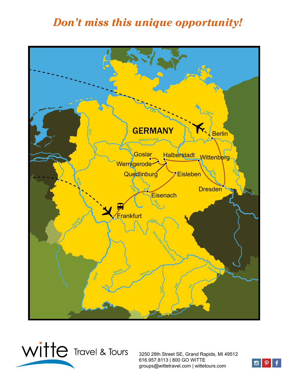## *Don't miss this unique opportunity!*





3250 28th Street SE, Grand Rapids, MI 49512 616.957.8113 | 800 GO WITTE groups@wittetravel.com | wittetours.com

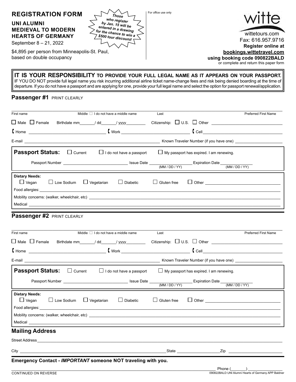

#### **IT IS YOUR RESPONSIBILITY TO PROVIDE YOUR FULL LEGAL NAME AS IT APPEARS ON YOUR PASSPORT.** IF YOU DO NOT provide full legal name you risk incurring additional airline ticket name-change fees and risk being denied boarding at the time of

departure. If you do not have a passport and are applying for one, provide your full legal name and select the option for passport renewal/application.

#### **Passenger #1 PRINT CLEARLY**

| First name                            |              |                   | Middle $\Box$ I do not have a middle name |                                               | Last                  |                                                | <b>Preferred First Name</b>             |
|---------------------------------------|--------------|-------------------|-------------------------------------------|-----------------------------------------------|-----------------------|------------------------------------------------|-----------------------------------------|
| $\Box$ Male $\Box$ Female             |              |                   |                                           | Birthdate mm_______/ dd_______/ yyyy_________ |                       | Citizenship: $\Box$ U.S. $\Box$ Other          |                                         |
|                                       |              |                   |                                           | $\blacksquare$                                |                       |                                                | $\begin{bmatrix}$ Cell $\end{bmatrix}$  |
|                                       |              |                   |                                           |                                               |                       |                                                | Known Traveler Number (if you have one) |
| <b>Passport Status:</b>               |              | $\Box$ Current    |                                           | $\Box$ I do not have a passport               |                       | $\Box$ My passport has expired. I am renewing. |                                         |
|                                       |              |                   |                                           |                                               |                       |                                                |                                         |
| <b>Dietary Needs:</b><br>$\Box$ Vegan |              | $\Box$ Low Sodium | $\Box$ Vegetarian                         | $\Box$ Diabetic                               | Gluten free<br>$\Box$ |                                                |                                         |
|                                       |              |                   |                                           | Mobility concerns: (walker, wheelchair, etc)  |                       |                                                |                                         |
|                                       |              |                   |                                           |                                               |                       |                                                |                                         |
|                                       | $\mathbf{r}$ |                   |                                           |                                               |                       |                                                |                                         |

### **Passenger #2 PRINT CLEARLY**

| First name                                              |                | Middle $\Box$ I do not have a middle name                                                                                                                                                                                      | Last               |                                                | <b>Preferred First Name</b> |
|---------------------------------------------------------|----------------|--------------------------------------------------------------------------------------------------------------------------------------------------------------------------------------------------------------------------------|--------------------|------------------------------------------------|-----------------------------|
| $\Box$ Male $\Box$ Female                               |                | Birthdate mm ______/ dd_______/ yyyy_________                                                                                                                                                                                  |                    |                                                |                             |
|                                                         |                |                                                                                                                                                                                                                                |                    |                                                |                             |
|                                                         |                |                                                                                                                                                                                                                                |                    |                                                |                             |
| <b>Passport Status:</b>                                 | $\Box$ Current | $\Box$ I do not have a passport                                                                                                                                                                                                |                    | $\Box$ My passport has expired. I am renewing. |                             |
|                                                         |                |                                                                                                                                                                                                                                |                    |                                                |                             |
| <b>Dietary Needs:</b><br>$\Box$ Vegan $\Box$ Low Sodium |                | $\Box$ Vegetarian<br>$\Box$ Diabetic                                                                                                                                                                                           | $\Box$ Gluten free |                                                |                             |
|                                                         |                |                                                                                                                                                                                                                                |                    |                                                |                             |
|                                                         |                | Medical Latin Communication and the communication of the communication of the communication of the communication of the communication of the communication of the communication of the communication of the communication of t |                    |                                                |                             |
| <b>Mailing Address</b>                                  |                |                                                                                                                                                                                                                                |                    |                                                |                             |
|                                                         |                |                                                                                                                                                                                                                                |                    |                                                |                             |
|                                                         |                |                                                                                                                                                                                                                                |                    |                                                |                             |
|                                                         |                | Emergency Contact - IMPORTANT someone NOT traveling with you.                                                                                                                                                                  |                    |                                                |                             |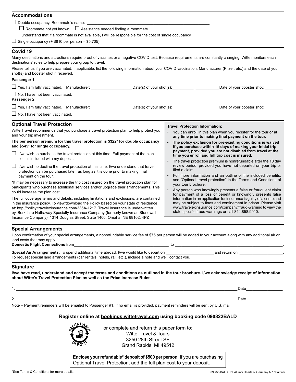| <b>Accommodations</b>                                                                                                                                                                                                                      |                                                                                                                                                                                |
|--------------------------------------------------------------------------------------------------------------------------------------------------------------------------------------------------------------------------------------------|--------------------------------------------------------------------------------------------------------------------------------------------------------------------------------|
| $\Box$ Double occupancy. Roommate's name:                                                                                                                                                                                                  |                                                                                                                                                                                |
| $\Box$ Roommate not yet known $\Box$ Assistance needed finding a roommate                                                                                                                                                                  |                                                                                                                                                                                |
| I understand that if a roommate is not available, I will be responsible for the cost of single occupancy.                                                                                                                                  |                                                                                                                                                                                |
| $\Box$ Single occupancy (+ \$810 per person = \$5,705)                                                                                                                                                                                     |                                                                                                                                                                                |
| Covid 19                                                                                                                                                                                                                                   |                                                                                                                                                                                |
| Many destinations and attractions require proof of vaccines or a negative COVID test. Because requirements are constantly changing, Witte monitors each<br>destinations' rules to help prepare your group to travel.                       |                                                                                                                                                                                |
| Please tell us if you are vaccinated. If applicable, list the following information about your COVID vaccination; Manufacturer (Pfizer, etc.) and the date of your<br>shot(s) and booster shot if received.                                |                                                                                                                                                                                |
| Passenger 1                                                                                                                                                                                                                                |                                                                                                                                                                                |
|                                                                                                                                                                                                                                            | Date of your booster shot:                                                                                                                                                     |
| $\Box$ No, I have not been vaccinated.<br>Passenger 2                                                                                                                                                                                      |                                                                                                                                                                                |
| □ Yes, I am fully vaccinated. Manufacturer: ________________________Date(s) of your shot(s):__________________                                                                                                                             | Date of your booster shot: ________                                                                                                                                            |
| $\Box$ No, I have not been vaccinated.                                                                                                                                                                                                     |                                                                                                                                                                                |
| <b>Optional Travel Protection</b>                                                                                                                                                                                                          |                                                                                                                                                                                |
| Witte Travel recommends that you purchase a travel protection plan to help protect you                                                                                                                                                     | <b>Travel Protection Information:</b><br>• You can enroll in this plan when you register for the tour or at                                                                    |
| and your trip investment.                                                                                                                                                                                                                  | any time prior to making final payment on the tour.                                                                                                                            |
| The per person premium for this travel protection is \$322* for double occupancy<br>and \$545* for single occupancy.                                                                                                                       | • The policy exclusion for pre-existing conditions is waived<br>if you purchase within 15 days of making your initial trip                                                     |
| $\Box$ I/we wish to purchase the travel protection at this time. Full payment of the plan<br>cost is included with my deposit.                                                                                                             | payment, provided you are not disabled from travel at the<br>time you enroll and full trip cost is insured.<br>The travel protection premium is nonrefundable after the 10 day |
| I/we wish to decline the travel protection at this time. I/we understand that travel                                                                                                                                                       | review period, provided you have not departed on your trip or                                                                                                                  |
| protection can be purchased later, as long as it is done prior to making final                                                                                                                                                             | filed a claim.                                                                                                                                                                 |
| payment on the tour.                                                                                                                                                                                                                       | For more information and an outline of the included benefits,<br>see "Optional travel protection" in the Terms and Conditions of                                               |
| *It may be necessary to increase the trip cost insured on the travel protection plan for<br>participants who purchase additional services and/or upgrade their arrangements. This                                                          | your tour brochure.                                                                                                                                                            |
| could increase the plan cost.                                                                                                                                                                                                              | $\bullet$<br>Any person who knowingly presents a false or fraudulent claim<br>for payment of a loss or benefit or knowingly presents false                                     |
| The full coverage terms and details, including limitations and exclusions, are contained                                                                                                                                                   | information in an application for insurance is quilty of a crime and                                                                                                           |
| in the insurance policy. To view/download the Policy based on your state of residence<br>at: http://policy.travelexinsurance.com/335A-1217. Travel Insurance is underwritten                                                               | may be subject to fines and confinement in prison. Please visit<br>www.travelexinsurance.com/company/fraud-warning to view the                                                 |
| by, Berkshire Hathaway Specialty Insurance Company (formerly known as Stonewall                                                                                                                                                            | state specific fraud warnings or call 844.858.9910.                                                                                                                            |
| Insurance Company), 1314 Douglas Street, Suite 1400, Omaha, NE 68102. 4PZ                                                                                                                                                                  |                                                                                                                                                                                |
| <b>Special Arrangements</b>                                                                                                                                                                                                                |                                                                                                                                                                                |
| Upon confirmation of your special arrangements, a nonrefundable service fee of \$75 per person will be added to your account along with any additional air or                                                                              |                                                                                                                                                                                |
| land costs that may apply.                                                                                                                                                                                                                 |                                                                                                                                                                                |
| Domestic Flight Connections from <b>Example 20</b> is the connection of the connection of the connection of the connections from the connection of the connections of the connection of the connection of the connection of the con        |                                                                                                                                                                                |
| To request special land arrangements (car rentals, hotels, rail, etc.), include a note and we'll contact you.                                                                                                                              |                                                                                                                                                                                |
| the control of the control of the control of the control of the control of the control of the control of the control of the control of the control of the control of the control of the control of the control of the control<br>Signature |                                                                                                                                                                                |
| I/we have read, understand and accept the terms and conditions as outlined in the tour brochure. I/we acknowledge receipt of information<br>about Witte's Travel Protection Plan as well as the Price Increase Rules.                      |                                                                                                                                                                                |
|                                                                                                                                                                                                                                            |                                                                                                                                                                                |
| <u> 1989 - John Stoff, deutscher Stoff, der Stoff, deutscher Stoff, der Stoff, der Stoff, der Stoff, der Stoff, d</u>                                                                                                                      |                                                                                                                                                                                |
| 2.                                                                                                                                                                                                                                         | Date and the state of the state of the state of the state of the state of the state of the state of the state o                                                                |
| Note - Payment reminders will be emailed to Passenger #1. If no email is provided, payment reminders will be sent by U.S. mail.                                                                                                            |                                                                                                                                                                                |
|                                                                                                                                                                                                                                            |                                                                                                                                                                                |
| Register online at <b>bookings.wittetravel.com</b> using booking code 090822BALD                                                                                                                                                           |                                                                                                                                                                                |
| WNDAD.<br>and a constant and such mentions that a more configuration.                                                                                                                                                                      |                                                                                                                                                                                |



or complete and return this paper form to: Witte Travel & Tours 3250 28th Street SE Grand Rapids, MI 49512

**Enclose your refundable\* deposit of \$500 per person**. If you are purchasing Optional Travel Protection, add the full plan cost to your deposit.